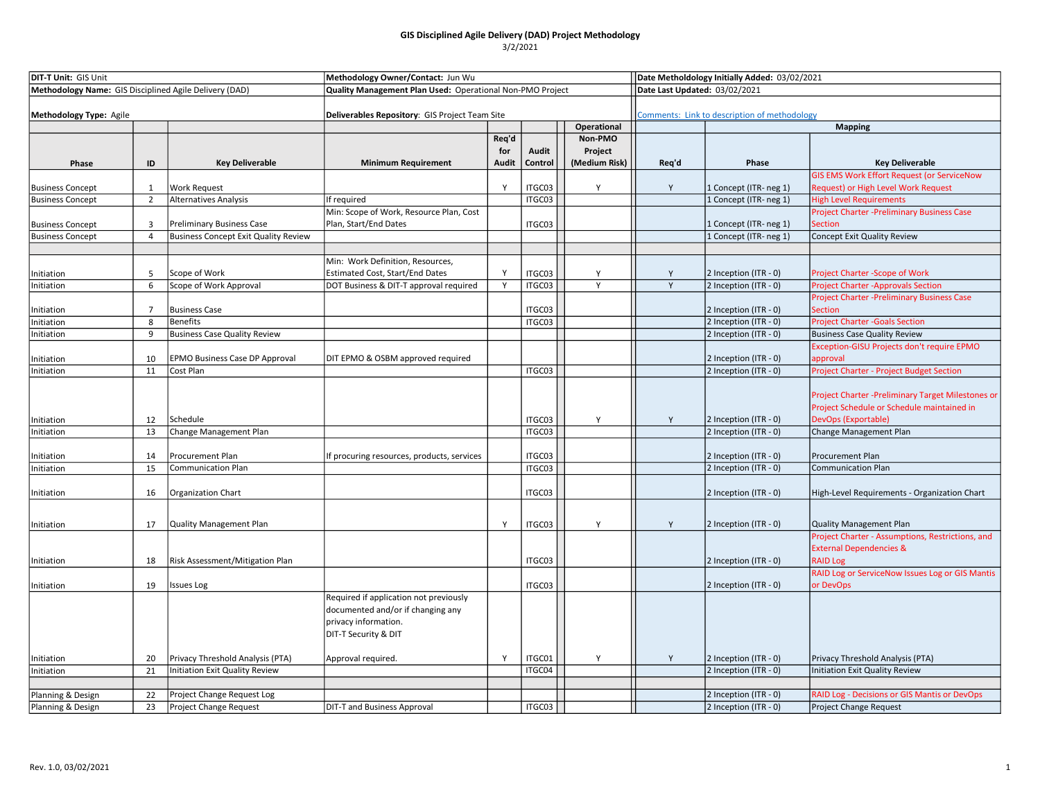| <b>DIT-T Unit: GIS Unit</b>                            |                |                                             | Methodology Owner/Contact: Jun Wu                         |       |         | Date Metholdology Initially Added: 03/02/2021 |                                                                               |                        |                                                                                                                         |  |
|--------------------------------------------------------|----------------|---------------------------------------------|-----------------------------------------------------------|-------|---------|-----------------------------------------------|-------------------------------------------------------------------------------|------------------------|-------------------------------------------------------------------------------------------------------------------------|--|
| Methodology Name: GIS Disciplined Agile Delivery (DAD) |                |                                             | Quality Management Plan Used: Operational Non-PMO Project |       |         |                                               | Date Last Updated: 03/02/2021<br>Comments: Link to description of methodology |                        |                                                                                                                         |  |
| Methodology Type: Agile                                |                |                                             | Deliverables Repository: GIS Project Team Site            |       |         |                                               |                                                                               |                        |                                                                                                                         |  |
|                                                        |                |                                             |                                                           |       |         | Operational                                   |                                                                               | <b>Mapping</b>         |                                                                                                                         |  |
|                                                        |                |                                             |                                                           | Req'd |         | Non-PMO                                       |                                                                               |                        |                                                                                                                         |  |
|                                                        |                |                                             |                                                           | for   | Audit   | Project                                       |                                                                               |                        |                                                                                                                         |  |
| Phase                                                  | ID             | <b>Key Deliverable</b>                      | <b>Minimum Requirement</b>                                | Audit | Control | (Medium Risk)                                 | Req'd                                                                         | Phase                  | <b>Key Deliverable</b>                                                                                                  |  |
|                                                        |                |                                             |                                                           |       |         |                                               |                                                                               |                        | <b>GIS EMS Work Effort Request (or ServiceNow</b>                                                                       |  |
| <b>Business Concept</b>                                | $\mathbf{1}$   | <b>Work Request</b>                         |                                                           | Y     | ITGC03  | Υ                                             | Y                                                                             | 1 Concept (ITR- neg 1) | Request) or High Level Work Request                                                                                     |  |
| <b>Business Concept</b>                                | $\overline{2}$ | <b>Alternatives Analysis</b>                | If required                                               |       | ITGC03  |                                               |                                                                               | 1 Concept (ITR- neg 1) | <b>High Level Requirements</b>                                                                                          |  |
|                                                        |                |                                             | Min: Scope of Work, Resource Plan, Cost                   |       |         |                                               |                                                                               |                        | Project Charter -Preliminary Business Case                                                                              |  |
| <b>Business Concept</b>                                | 3              | <b>Preliminary Business Case</b>            | Plan, Start/End Dates                                     |       | ITGC03  |                                               |                                                                               | 1 Concept (ITR-neg 1)  | Section                                                                                                                 |  |
| <b>Business Concept</b>                                | $\overline{4}$ | <b>Business Concept Exit Quality Review</b> |                                                           |       |         |                                               |                                                                               | 1 Concept (ITR- neg 1) | Concept Exit Quality Review                                                                                             |  |
|                                                        |                |                                             |                                                           |       |         |                                               |                                                                               |                        |                                                                                                                         |  |
|                                                        |                |                                             | Min: Work Definition, Resources,                          |       |         |                                               |                                                                               |                        |                                                                                                                         |  |
| Initiation                                             | $\overline{5}$ | Scope of Work                               | <b>Estimated Cost, Start/End Dates</b>                    | Y     | ITGC03  | Y                                             | Y                                                                             | 2 Inception (ITR - 0)  | <b>Project Charter -Scope of Work</b>                                                                                   |  |
| Initiation                                             | 6              | Scope of Work Approval                      | DOT Business & DIT-T approval required                    | Y     | ITGC03  | Y                                             | Y                                                                             | 2 Inception (ITR - 0)  | <b>Project Charter -Approvals Section</b>                                                                               |  |
|                                                        |                |                                             |                                                           |       |         |                                               |                                                                               |                        | Project Charter -Preliminary Business Case                                                                              |  |
| nitiation                                              | 7              | <b>Business Case</b>                        |                                                           |       | ITGC03  |                                               |                                                                               | 2 Inception (ITR - 0)  | <b>Section</b>                                                                                                          |  |
| Initiation                                             | 8              | <b>Benefits</b>                             |                                                           |       | ITGC03  |                                               |                                                                               | 2 Inception (ITR - 0)  | <b>Project Charter - Goals Section</b>                                                                                  |  |
| Initiation                                             | 9              | <b>Business Case Quality Review</b>         |                                                           |       |         |                                               |                                                                               | 2 Inception (ITR - 0)  | <b>Business Case Quality Review</b>                                                                                     |  |
|                                                        |                |                                             |                                                           |       |         |                                               |                                                                               |                        | Exception-GISU Projects don't require EPMO                                                                              |  |
| nitiation                                              | 10             | EPMO Business Case DP Approval              | DIT EPMO & OSBM approved required                         |       |         |                                               |                                                                               | 2 Inception (ITR - 0)  | approval                                                                                                                |  |
| Initiation                                             | 11             | Cost Plan                                   |                                                           |       | ITGC03  |                                               |                                                                               | 2 Inception (ITR - 0)  | Project Charter - Project Budget Section                                                                                |  |
| Initiation                                             | 12             | Schedule                                    |                                                           |       | ITGC03  | Y                                             | Y                                                                             | 2 Inception (ITR - 0)  | Project Charter - Preliminary Target Milestones or<br>Project Schedule or Schedule maintained in<br>DevOps (Exportable) |  |
| Initiation                                             | 13             | Change Management Plan                      |                                                           |       | ITGC03  |                                               |                                                                               | 2 Inception (ITR - 0)  | Change Management Plan                                                                                                  |  |
|                                                        |                |                                             |                                                           |       |         |                                               |                                                                               |                        |                                                                                                                         |  |
| Initiation                                             | 14             | Procurement Plan                            | If procuring resources, products, services                |       | ITGC03  |                                               |                                                                               | 2 Inception (ITR - 0)  | <b>Procurement Plan</b>                                                                                                 |  |
| Initiation                                             | 15             | <b>Communication Plan</b>                   |                                                           |       | ITGC03  |                                               |                                                                               | 2 Inception (ITR - 0)  | <b>Communication Plan</b>                                                                                               |  |
| Initiation                                             | 16             | Organization Chart                          |                                                           |       | ITGC03  |                                               |                                                                               | 2 Inception (ITR - 0)  | High-Level Requirements - Organization Chart                                                                            |  |
|                                                        |                |                                             |                                                           |       |         |                                               |                                                                               |                        |                                                                                                                         |  |
|                                                        | 17             | <b>Quality Management Plan</b>              |                                                           | Y     | ITGC03  | Y                                             | Y                                                                             | 2 Inception (ITR - 0)  | <b>Quality Management Plan</b>                                                                                          |  |
| Initiation                                             |                |                                             |                                                           |       |         |                                               |                                                                               |                        | Project Charter - Assumptions, Restrictions, and                                                                        |  |
|                                                        |                |                                             |                                                           |       |         |                                               |                                                                               |                        | <b>External Dependencies &amp;</b>                                                                                      |  |
| Initiation                                             | 18             | Risk Assessment/Mitigation Plan             |                                                           |       | ITGC03  |                                               |                                                                               | 2 Inception (ITR - 0)  | <b>RAID Log</b>                                                                                                         |  |
|                                                        |                |                                             |                                                           |       |         |                                               |                                                                               |                        | RAID Log or ServiceNow Issues Log or GIS Mantis                                                                         |  |
| Initiation                                             | 19             | <b>Issues Log</b>                           |                                                           |       | ITGC03  |                                               |                                                                               | 2 Inception (ITR - 0)  | or DevOps                                                                                                               |  |
|                                                        |                |                                             | Required if application not previously                    |       |         |                                               |                                                                               |                        |                                                                                                                         |  |
|                                                        |                |                                             | documented and/or if changing any                         |       |         |                                               |                                                                               |                        |                                                                                                                         |  |
|                                                        |                |                                             | privacy information.                                      |       |         |                                               |                                                                               |                        |                                                                                                                         |  |
|                                                        |                |                                             | DIT-T Security & DIT                                      |       |         |                                               |                                                                               |                        |                                                                                                                         |  |
|                                                        |                |                                             |                                                           |       |         |                                               |                                                                               |                        |                                                                                                                         |  |
| Initiation                                             | 20             | Privacy Threshold Analysis (PTA)            | Approval required.                                        | Y     | ITGC01  | Y                                             | Y                                                                             | 2 Inception (ITR - 0)  | Privacy Threshold Analysis (PTA)                                                                                        |  |
| Initiation                                             | 21             | Initiation Exit Quality Review              |                                                           |       | ITGC04  |                                               |                                                                               | 2 Inception (ITR - 0)  | <b>Initiation Exit Quality Review</b>                                                                                   |  |
|                                                        |                |                                             |                                                           |       |         |                                               |                                                                               |                        |                                                                                                                         |  |
| Planning & Design                                      | 22             | Project Change Request Log                  |                                                           |       |         |                                               |                                                                               | 2 Inception (ITR - 0)  | RAID Log - Decisions or GIS Mantis or DevOps                                                                            |  |
| Planning & Design                                      | 23             | Project Change Request                      | <b>DIT-T and Business Approval</b>                        |       | ITGC03  |                                               |                                                                               | 2 Inception (ITR - 0)  | <b>Project Change Request</b>                                                                                           |  |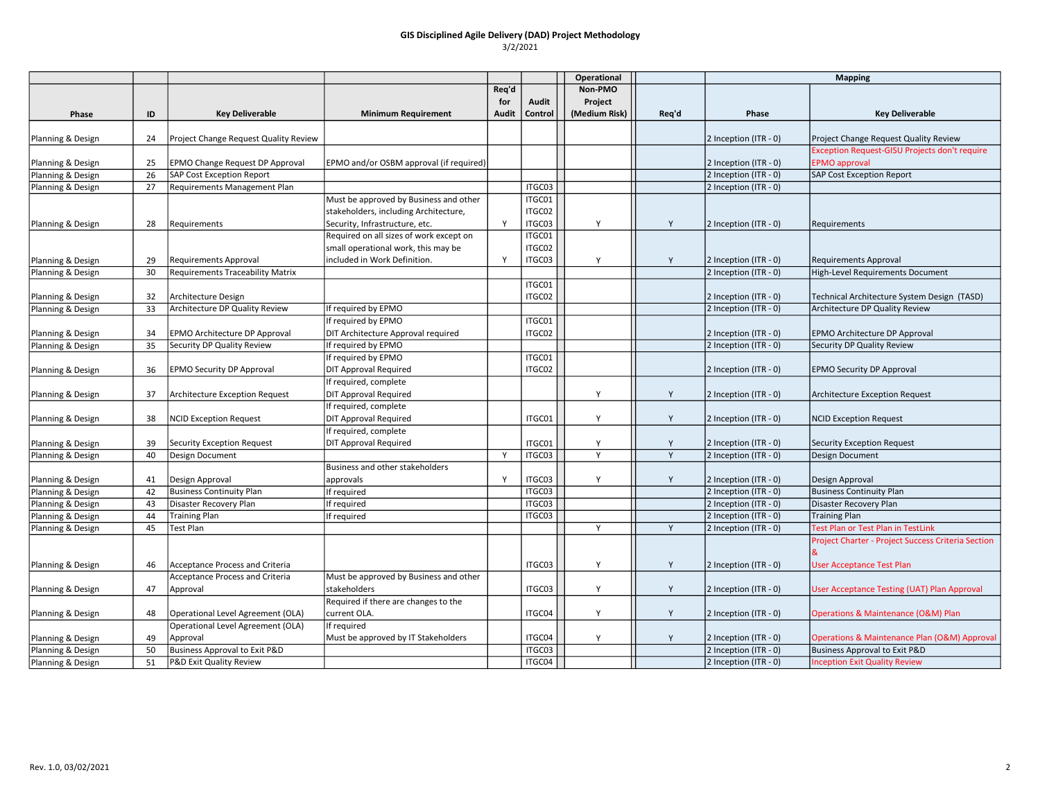|                   |    |                                          |                                                      |       |         | Operational   |       | <b>Mapping</b>        |                                                    |
|-------------------|----|------------------------------------------|------------------------------------------------------|-------|---------|---------------|-------|-----------------------|----------------------------------------------------|
|                   |    |                                          |                                                      | Req'd |         | Non-PMO       |       |                       |                                                    |
|                   |    |                                          |                                                      | for   | Audit   | Project       |       |                       |                                                    |
| Phase             | ID | <b>Key Deliverable</b>                   | <b>Minimum Requirement</b>                           | Audit | Control | (Medium Risk) | Req'd | Phase                 | <b>Key Deliverable</b>                             |
| Planning & Design | 24 | Project Change Request Quality Review    |                                                      |       |         |               |       | 2 Inception (ITR - 0) | Project Change Request Quality Review              |
|                   |    |                                          |                                                      |       |         |               |       |                       | Exception Request-GISU Projects don't require      |
| Planning & Design | 25 | EPMO Change Request DP Approval          | EPMO and/or OSBM approval (if required)              |       |         |               |       | 2 Inception (ITR - 0) | <b>EPMO</b> approval                               |
| Planning & Design | 26 | <b>SAP Cost Exception Report</b>         |                                                      |       |         |               |       | 2 Inception (ITR - 0) | <b>SAP Cost Exception Report</b>                   |
| Planning & Design | 27 | Requirements Management Plan             |                                                      |       | ITGC03  |               |       | 2 Inception (ITR - 0) |                                                    |
|                   |    |                                          | Must be approved by Business and other               |       | ITGC01  |               |       |                       |                                                    |
|                   |    |                                          | stakeholders, including Architecture,                |       | ITGC02  |               |       |                       |                                                    |
| Planning & Design | 28 | Requirements                             | Security, Infrastructure, etc.                       | Y     | ITGC03  | Y             | Y     | 2 Inception (ITR - 0) | Requirements                                       |
|                   |    |                                          | Required on all sizes of work except on              |       | ITGC01  |               |       |                       |                                                    |
|                   |    |                                          | small operational work, this may be                  |       | ITGC02  |               |       |                       |                                                    |
| Planning & Design | 29 | Requirements Approval                    | included in Work Definition.                         | Y     | ITGC03  | Y             | Y     | 2 Inception (ITR - 0) | <b>Requirements Approval</b>                       |
| Planning & Design | 30 | Requirements Traceability Matrix         |                                                      |       |         |               |       | 2 Inception (ITR - 0) | High-Level Requirements Document                   |
|                   |    |                                          |                                                      |       | ITGC01  |               |       |                       |                                                    |
| Planning & Design | 32 | Architecture Design                      |                                                      |       | ITGC02  |               |       | 2 Inception (ITR - 0) | Technical Architecture System Design (TASD)        |
| Planning & Design | 33 | Architecture DP Quality Review           | If required by EPMO                                  |       |         |               |       | 2 Inception (ITR - 0) | Architecture DP Quality Review                     |
|                   |    |                                          | If required by EPMO                                  |       | ITGC01  |               |       |                       |                                                    |
| Planning & Design | 34 | <b>EPMO Architecture DP Approval</b>     | DIT Architecture Approval required                   |       | ITGC02  |               |       | 2 Inception (ITR - 0) | EPMO Architecture DP Approval                      |
| Planning & Design | 35 | Security DP Quality Review               | If required by EPMO                                  |       |         |               |       | 2 Inception (ITR - 0) | Security DP Quality Review                         |
|                   |    |                                          | If required by EPMO                                  |       | ITGC01  |               |       |                       |                                                    |
| Planning & Design | 36 | <b>EPMO Security DP Approval</b>         | <b>DIT Approval Required</b>                         |       | ITGC02  |               |       | 2 Inception (ITR - 0) | <b>EPMO Security DP Approval</b>                   |
|                   |    |                                          | If required, complete                                |       |         |               |       |                       |                                                    |
| Planning & Design | 37 | Architecture Exception Request           | <b>DIT Approval Required</b>                         |       |         | Y             | Y     | 2 Inception (ITR - 0) | Architecture Exception Request                     |
|                   |    |                                          | If required, complete                                |       |         |               |       |                       |                                                    |
| Planning & Design | 38 | <b>NCID Exception Request</b>            | <b>DIT Approval Required</b>                         |       | ITGC01  | Y             | Y     | 2 Inception (ITR - 0) | <b>NCID Exception Request</b>                      |
|                   |    |                                          | If required, complete                                |       |         |               |       |                       |                                                    |
| Planning & Design | 39 | <b>Security Exception Request</b>        | <b>DIT Approval Required</b>                         |       | ITGC01  | Y             | Y     | 2 Inception (ITR - 0) | Security Exception Request                         |
| Planning & Design | 40 | Design Document                          |                                                      | Y     | ITGC03  | Y             | Y     | 2 Inception (ITR - 0) | <b>Design Document</b>                             |
|                   |    |                                          | Business and other stakeholders                      |       |         |               |       |                       |                                                    |
| Planning & Design | 41 | Design Approval                          | approvals                                            | Y     | ITGC03  | Υ             | Y     | 2 Inception (ITR - 0) | Design Approval                                    |
| Planning & Design | 42 | <b>Business Continuity Plan</b>          | If required                                          |       | ITGC03  |               |       | 2 Inception (ITR - 0) | <b>Business Continuity Plan</b>                    |
| Planning & Design | 43 | Disaster Recovery Plan                   | If required                                          |       | ITGC03  |               |       | 2 Inception (ITR - 0) | Disaster Recovery Plan                             |
| Planning & Design | 44 | <b>Training Plan</b>                     | If required                                          |       | ITGC03  |               |       | 2 Inception (ITR - 0) | <b>Training Plan</b>                               |
| Planning & Design | 45 | Test Plan                                |                                                      |       |         | Y             | Y     | 2 Inception (ITR - 0) | Test Plan or Test Plan in TestLink                 |
|                   |    |                                          |                                                      |       |         |               |       |                       | Project Charter - Project Success Criteria Section |
| Planning & Design | 46 | Acceptance Process and Criteria          |                                                      |       | ITGC03  | Y             | Y     | 2 Inception (ITR - 0) | <b>User Acceptance Test Plan</b>                   |
|                   |    | Acceptance Process and Criteria          | Must be approved by Business and other               |       |         |               |       |                       |                                                    |
| Planning & Design | 47 | Approval                                 | stakeholders                                         |       | ITGC03  | Y             | Y     | 2 Inception (ITR - 0) | User Acceptance Testing (UAT) Plan Approval        |
| Planning & Design | 48 | Operational Level Agreement (OLA)        | Required if there are changes to the<br>current OLA. |       | ITGC04  | Y             | Y     | 2 Inception (ITR - 0) | Operations & Maintenance (O&M) Plan                |
|                   |    | Operational Level Agreement (OLA)        | If required                                          |       |         |               |       |                       |                                                    |
| Planning & Design | 49 | Approval                                 | Must be approved by IT Stakeholders                  |       | ITGC04  | Υ             | Y     | 2 Inception (ITR - 0) | Operations & Maintenance Plan (O&M) Approval       |
| Planning & Design | 50 | <b>Business Approval to Exit P&amp;D</b> |                                                      |       | ITGC03  |               |       | 2 Inception (ITR - 0) | Business Approval to Exit P&D                      |
| Planning & Design | 51 | P&D Exit Quality Review                  |                                                      |       | ITGC04  |               |       | 2 Inception (ITR - 0) | <b>Inception Exit Quality Review</b>               |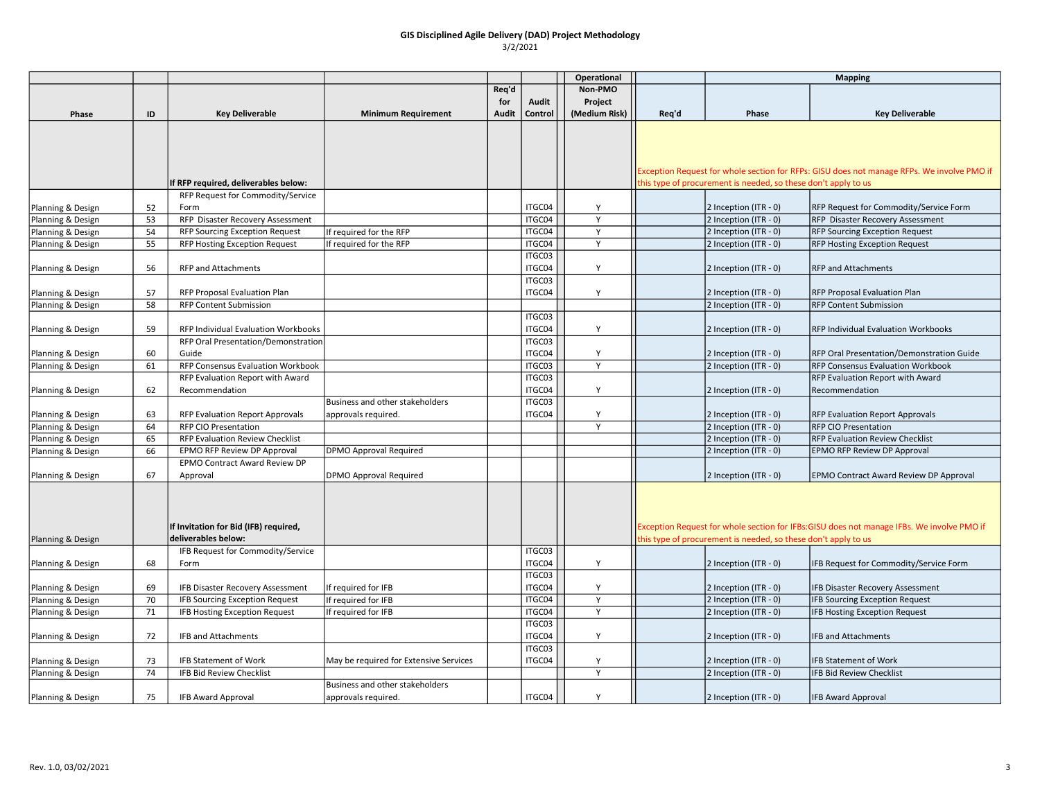|                   |    |                                                    |                                        |       |                  | Operational    |       |                                                                | <b>Mapping</b>                                                                             |
|-------------------|----|----------------------------------------------------|----------------------------------------|-------|------------------|----------------|-------|----------------------------------------------------------------|--------------------------------------------------------------------------------------------|
|                   |    |                                                    |                                        | Req'd |                  | Non-PMO        |       |                                                                |                                                                                            |
|                   |    |                                                    |                                        | for   | Audit            | Project        |       |                                                                |                                                                                            |
| Phase             | ID | <b>Key Deliverable</b>                             | <b>Minimum Requirement</b>             | Audit | Control          | (Medium Risk)  | Req'd | Phase                                                          | <b>Key Deliverable</b>                                                                     |
|                   |    |                                                    |                                        |       |                  |                |       |                                                                |                                                                                            |
|                   |    |                                                    |                                        |       |                  |                |       |                                                                |                                                                                            |
|                   |    |                                                    |                                        |       |                  |                |       |                                                                |                                                                                            |
|                   |    |                                                    |                                        |       |                  |                |       |                                                                | Exception Request for whole section for RFPs: GISU does not manage RFPs. We involve PMO if |
|                   |    | If RFP required, deliverables below:               |                                        |       |                  |                |       | this type of procurement is needed, so these don't apply to us |                                                                                            |
|                   |    | RFP Request for Commodity/Service                  |                                        |       |                  |                |       |                                                                |                                                                                            |
| Planning & Design | 52 | Form                                               |                                        |       | ITGC04           | Y              |       | 2 Inception (ITR - 0)                                          | RFP Request for Commodity/Service Form                                                     |
| Planning & Design | 53 | RFP Disaster Recovery Assessment                   |                                        |       | ITGC04           | Y              |       | 2 Inception (ITR - 0)                                          | RFP Disaster Recovery Assessment                                                           |
| Planning & Design | 54 | <b>RFP Sourcing Exception Request</b>              | If required for the RFP                |       | ITGC04           | Y              |       | 2 Inception (ITR - 0)                                          | <b>RFP Sourcing Exception Request</b>                                                      |
| Planning & Design | 55 | RFP Hosting Exception Request                      | If required for the RFP                |       | ITGC04           | Y              |       | 2 Inception (ITR - 0)                                          | <b>RFP Hosting Exception Request</b>                                                       |
|                   |    |                                                    |                                        |       | ITGC03           |                |       |                                                                |                                                                                            |
| Planning & Design | 56 | <b>RFP and Attachments</b>                         |                                        |       | ITGC04           | Υ              |       | 2 Inception (ITR - 0)                                          | <b>RFP and Attachments</b>                                                                 |
|                   |    |                                                    |                                        |       | ITGC03           |                |       |                                                                |                                                                                            |
| Planning & Design | 57 | RFP Proposal Evaluation Plan                       |                                        |       | ITGC04           | Y              |       | 2 Inception (ITR - 0)                                          | RFP Proposal Evaluation Plan                                                               |
| Planning & Design | 58 | RFP Content Submission                             |                                        |       |                  |                |       | 2 Inception (ITR - 0)                                          | <b>RFP Content Submission</b>                                                              |
|                   |    |                                                    |                                        |       | ITGC03           |                |       |                                                                |                                                                                            |
| Planning & Design | 59 | RFP Individual Evaluation Workbooks                |                                        |       | ITGC04           | Υ              |       | 2 Inception (ITR - 0)                                          | RFP Individual Evaluation Workbooks                                                        |
|                   |    | RFP Oral Presentation/Demonstration                |                                        |       | ITGC03           |                |       |                                                                |                                                                                            |
| Planning & Design | 60 | Guide                                              |                                        |       | ITGC04           | Υ              |       | 2 Inception (ITR - 0)                                          | <b>RFP Oral Presentation/Demonstration Guide</b>                                           |
| Planning & Design | 61 | RFP Consensus Evaluation Workbook                  |                                        |       | ITGC03           | Y              |       | 2 Inception (ITR - 0)                                          | <b>RFP Consensus Evaluation Workbook</b>                                                   |
|                   | 62 | RFP Evaluation Report with Award<br>Recommendation |                                        |       | ITGC03<br>ITGC04 | Y              |       | 2 Inception (ITR - 0)                                          | <b>RFP Evaluation Report with Award</b><br>Recommendation                                  |
| Planning & Design |    |                                                    | Business and other stakeholders        |       | ITGC03           |                |       |                                                                |                                                                                            |
| Planning & Design | 63 | <b>RFP Evaluation Report Approvals</b>             | approvals required.                    |       | ITGC04           | Υ              |       | 2 Inception (ITR - 0)                                          | <b>RFP Evaluation Report Approvals</b>                                                     |
| Planning & Design | 64 | RFP CIO Presentation                               |                                        |       |                  | Y              |       | 2 Inception (ITR - 0)                                          | <b>RFP CIO Presentation</b>                                                                |
| Planning & Design | 65 | RFP Evaluation Review Checklist                    |                                        |       |                  |                |       | 2 Inception (ITR - 0)                                          | <b>RFP Evaluation Review Checklist</b>                                                     |
| Planning & Design | 66 | EPMO RFP Review DP Approval                        | <b>DPMO Approval Required</b>          |       |                  |                |       | 2 Inception (ITR - 0)                                          | <b>EPMO RFP Review DP Approval</b>                                                         |
|                   |    | <b>EPMO Contract Award Review DP</b>               |                                        |       |                  |                |       |                                                                |                                                                                            |
| Planning & Design | 67 | Approval                                           | DPMO Approval Required                 |       |                  |                |       | 2 Inception (ITR - 0)                                          | <b>EPMO Contract Award Review DP Approval</b>                                              |
|                   |    |                                                    |                                        |       |                  |                |       |                                                                |                                                                                            |
|                   |    |                                                    |                                        |       |                  |                |       |                                                                |                                                                                            |
|                   |    |                                                    |                                        |       |                  |                |       |                                                                |                                                                                            |
|                   |    | If Invitation for Bid (IFB) required,              |                                        |       |                  |                |       |                                                                | Exception Request for whole section for IFBs:GISU does not manage IFBs. We involve PMO if  |
| Planning & Design |    | deliverables below:                                |                                        |       |                  |                |       | this type of procurement is needed, so these don't apply to us |                                                                                            |
|                   |    | IFB Request for Commodity/Service                  |                                        |       | ITGC03           |                |       |                                                                |                                                                                            |
| Planning & Design | 68 | Form                                               |                                        |       | ITGC04           | Y              |       | 2 Inception (ITR - 0)                                          | IFB Request for Commodity/Service Form                                                     |
|                   |    |                                                    |                                        |       | ITGC03           |                |       |                                                                |                                                                                            |
| Planning & Design | 69 | IFB Disaster Recovery Assessment                   | If required for IFB                    |       | ITGC04           | Y              |       | 2 Inception (ITR - 0)                                          | IFB Disaster Recovery Assessment                                                           |
| Planning & Design | 70 | IFB Sourcing Exception Request                     | If required for IFB                    |       | ITGC04           | $\overline{Y}$ |       | 2 Inception (ITR - 0)                                          | <b>IFB Sourcing Exception Request</b>                                                      |
| Planning & Design | 71 | IFB Hosting Exception Request                      | If required for IFB                    |       | ITGC04           | Y              |       | 2 Inception (ITR - 0)                                          | IFB Hosting Exception Request                                                              |
|                   |    |                                                    |                                        |       | ITGC03           |                |       |                                                                |                                                                                            |
| Planning & Design | 72 | IFB and Attachments                                |                                        |       | ITGC04           | Y              |       | 2 Inception (ITR - 0)                                          | IFB and Attachments                                                                        |
|                   |    |                                                    |                                        |       | ITGC03           |                |       |                                                                |                                                                                            |
| Planning & Design | 73 | <b>IFB Statement of Work</b>                       | May be required for Extensive Services |       | ITGC04           | Υ              |       | 2 Inception (ITR - 0)                                          | <b>IFB Statement of Work</b>                                                               |
| Planning & Design | 74 | IFB Bid Review Checklist                           |                                        |       |                  | Y              |       | 2 Inception (ITR - 0)                                          | IFB Bid Review Checklist                                                                   |
|                   |    |                                                    | Business and other stakeholders        |       |                  |                |       |                                                                |                                                                                            |
| Planning & Design | 75 | <b>IFB Award Approval</b>                          | approvals required.                    |       | ITGC04           | Υ              |       | 2 Inception (ITR - 0)                                          | <b>IFB Award Approval</b>                                                                  |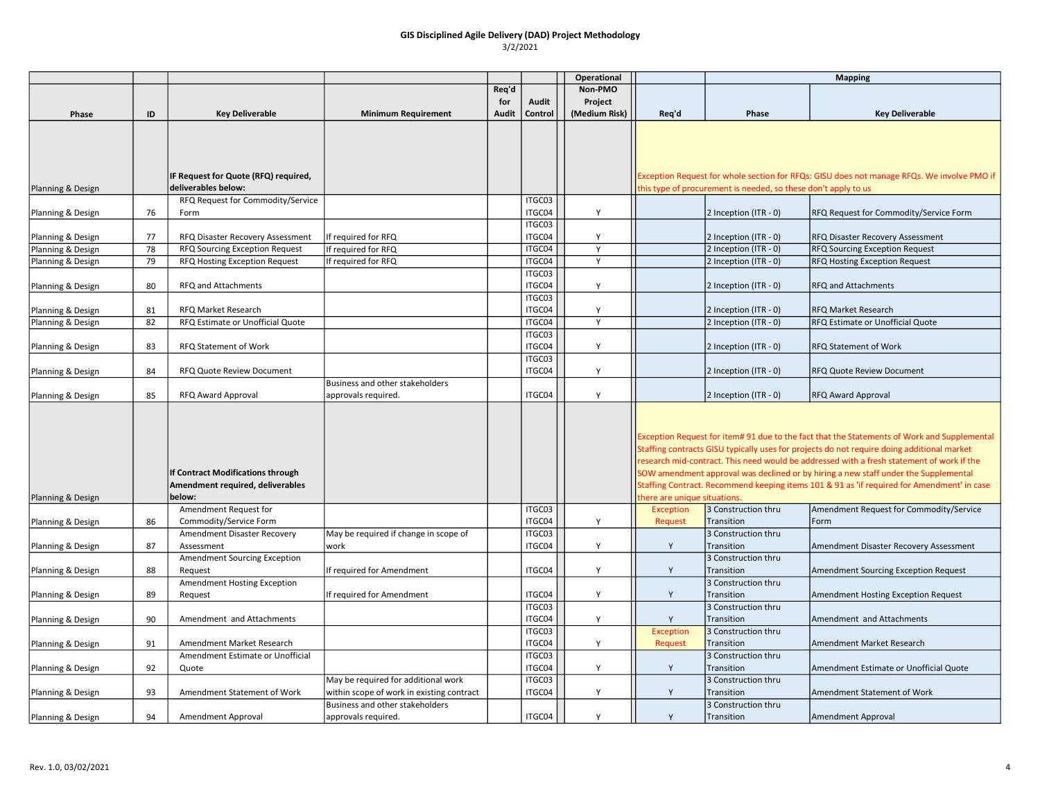|                   |    |                                           |                                                                                  |       |                  | Operational   |                                                                                            | <b>Mapping</b>                                                 |                                                                                             |  |
|-------------------|----|-------------------------------------------|----------------------------------------------------------------------------------|-------|------------------|---------------|--------------------------------------------------------------------------------------------|----------------------------------------------------------------|---------------------------------------------------------------------------------------------|--|
|                   |    |                                           |                                                                                  | Req'd |                  | Non-PMO       |                                                                                            |                                                                |                                                                                             |  |
|                   |    |                                           |                                                                                  | for   | Audit            | Project       |                                                                                            |                                                                |                                                                                             |  |
| Phase             | ID | <b>Key Deliverable</b>                    | <b>Minimum Requirement</b>                                                       | Audit | Control          | (Medium Risk) | Req'd                                                                                      | Phase                                                          | <b>Key Deliverable</b>                                                                      |  |
|                   |    |                                           |                                                                                  |       |                  |               |                                                                                            |                                                                |                                                                                             |  |
|                   |    |                                           |                                                                                  |       |                  |               |                                                                                            |                                                                |                                                                                             |  |
|                   |    |                                           |                                                                                  |       |                  |               |                                                                                            |                                                                |                                                                                             |  |
|                   |    |                                           |                                                                                  |       |                  |               |                                                                                            |                                                                |                                                                                             |  |
|                   |    | IF Request for Quote (RFQ) required,      |                                                                                  |       |                  |               |                                                                                            |                                                                | Exception Request for whole section for RFQs: GISU does not manage RFQs. We involve PMO if  |  |
| Planning & Design |    | deliverables below:                       |                                                                                  |       |                  |               |                                                                                            | this type of procurement is needed, so these don't apply to us |                                                                                             |  |
|                   |    | RFQ Request for Commodity/Service         |                                                                                  |       | ITGC03           |               |                                                                                            |                                                                |                                                                                             |  |
| Planning & Design | 76 | Form                                      |                                                                                  |       | ITGC04           | Y             |                                                                                            | 2 Inception (ITR - 0)                                          | RFQ Request for Commodity/Service Form                                                      |  |
|                   |    |                                           |                                                                                  |       | ITGC03           |               |                                                                                            |                                                                |                                                                                             |  |
| Planning & Design | 77 | RFQ Disaster Recovery Assessment          | If required for RFQ                                                              |       | ITGC04           | Y             |                                                                                            | 2 Inception (ITR - 0)                                          | RFQ Disaster Recovery Assessment                                                            |  |
| Planning & Design | 78 | RFQ Sourcing Exception Request            | If required for RFQ                                                              |       | ITGC04           | Y             |                                                                                            | 2 Inception (ITR - 0)                                          | RFQ Sourcing Exception Request                                                              |  |
| Planning & Design | 79 | RFQ Hosting Exception Request             | If required for RFQ                                                              |       | ITGC04           | Y             |                                                                                            | 2 Inception (ITR - 0)                                          | RFQ Hosting Exception Request                                                               |  |
|                   |    |                                           |                                                                                  |       | ITGC03           |               |                                                                                            |                                                                |                                                                                             |  |
| Planning & Design | 80 | RFQ and Attachments                       |                                                                                  |       | ITGC04           | Y             |                                                                                            | 2 Inception (ITR - 0)                                          | <b>RFQ and Attachments</b>                                                                  |  |
|                   |    |                                           |                                                                                  |       | ITGC03           |               |                                                                                            |                                                                |                                                                                             |  |
| Planning & Design | 81 | RFQ Market Research                       |                                                                                  |       | ITGC04           | Υ             |                                                                                            | 2 Inception (ITR - 0)                                          | <b>RFQ Market Research</b>                                                                  |  |
| Planning & Design | 82 | RFQ Estimate or Unofficial Quote          |                                                                                  |       | ITGC04           | Y             |                                                                                            | 2 Inception (ITR - 0)                                          | RFQ Estimate or Unofficial Quote                                                            |  |
|                   |    |                                           |                                                                                  |       | ITGC03           |               |                                                                                            |                                                                |                                                                                             |  |
| Planning & Design | 83 | RFQ Statement of Work                     |                                                                                  |       | ITGC04           | Y             |                                                                                            | 2 Inception (ITR - 0)                                          | <b>RFQ Statement of Work</b>                                                                |  |
|                   |    |                                           |                                                                                  |       | ITGC03           |               |                                                                                            |                                                                |                                                                                             |  |
| Planning & Design | 84 | RFQ Quote Review Document                 |                                                                                  |       | ITGC04           | Υ             |                                                                                            | 2 Inception (ITR - 0)                                          | RFQ Quote Review Document                                                                   |  |
|                   |    |                                           | Business and other stakeholders                                                  |       |                  | Y             |                                                                                            |                                                                |                                                                                             |  |
| Planning & Design | 85 | RFQ Award Approval                        | approvals required.                                                              |       | ITGC04           |               |                                                                                            | 2 Inception (ITR - 0)                                          | <b>RFQ Award Approval</b>                                                                   |  |
|                   |    |                                           |                                                                                  |       |                  |               |                                                                                            |                                                                |                                                                                             |  |
|                   |    |                                           |                                                                                  |       |                  |               |                                                                                            |                                                                |                                                                                             |  |
|                   |    |                                           |                                                                                  |       |                  |               |                                                                                            |                                                                | Exception Request for item# 91 due to the fact that the Statements of Work and Supplemental |  |
|                   |    |                                           |                                                                                  |       |                  |               |                                                                                            |                                                                | Staffing contracts GISU typically uses for projects do not require doing additional market  |  |
|                   |    |                                           |                                                                                  |       |                  |               |                                                                                            |                                                                | research mid-contract. This need would be addressed with a fresh statement of work if the   |  |
|                   |    | If Contract Modifications through         |                                                                                  |       |                  |               |                                                                                            |                                                                | SOW amendment approval was declined or by hiring a new staff under the Supplemental         |  |
|                   |    | Amendment required, deliverables          |                                                                                  |       |                  |               | Staffing Contract. Recommend keeping items 101 & 91 as 'if required for Amendment' in case |                                                                |                                                                                             |  |
| Planning & Design |    | below:                                    |                                                                                  |       |                  |               | there are unique situations.                                                               |                                                                |                                                                                             |  |
|                   |    | Amendment Request for                     |                                                                                  |       | ITGC03           |               | <b>Exception</b>                                                                           | 3 Construction thru                                            | Amendment Request for Commodity/Service                                                     |  |
| Planning & Design | 86 | Commodity/Service Form                    |                                                                                  |       | ITGC04           | Y             | <b>Request</b>                                                                             | Transition                                                     | Form                                                                                        |  |
|                   |    | Amendment Disaster Recovery               | May be required if change in scope of                                            |       | ITGC03           |               |                                                                                            | 3 Construction thru                                            |                                                                                             |  |
| Planning & Design | 87 | Assessment                                | work                                                                             |       | ITGC04           | Υ             | Y                                                                                          | Transition                                                     | Amendment Disaster Recovery Assessment                                                      |  |
|                   |    | Amendment Sourcing Exception              |                                                                                  |       |                  |               |                                                                                            | 3 Construction thru                                            |                                                                                             |  |
| Planning & Design | 88 | Request                                   | If required for Amendment                                                        |       | ITGC04           | Y             | Y                                                                                          | Transition                                                     | Amendment Sourcing Exception Request                                                        |  |
|                   |    | Amendment Hosting Exception               |                                                                                  |       | ITGC04           | Y             | Y                                                                                          | 3 Construction thru                                            |                                                                                             |  |
| Planning & Design | 89 | Request                                   | If required for Amendment                                                        |       |                  |               |                                                                                            | Transition                                                     | Amendment Hosting Exception Request                                                         |  |
|                   |    |                                           |                                                                                  |       | ITGC03           |               |                                                                                            | 3 Construction thru                                            |                                                                                             |  |
| Planning & Design | 90 | Amendment and Attachments                 |                                                                                  |       | ITGC04           | Y             | Y                                                                                          | Transition                                                     | Amendment and Attachments                                                                   |  |
|                   | 91 |                                           |                                                                                  |       | ITGC03<br>ITGC04 | Y             | <b>Exception</b>                                                                           | 3 Construction thru                                            |                                                                                             |  |
| Planning & Design |    | Amendment Market Research                 |                                                                                  |       | ITGC03           |               | Request                                                                                    | Transition                                                     | Amendment Market Research                                                                   |  |
|                   | 92 | Amendment Estimate or Unofficial<br>Quote |                                                                                  |       | ITGC04           | Υ             |                                                                                            | 3 Construction thru<br>Transition                              | Amendment Estimate or Unofficial Quote                                                      |  |
| Planning & Design |    |                                           |                                                                                  |       | ITGC03           |               | Y                                                                                          | 3 Construction thru                                            |                                                                                             |  |
|                   | 93 | Amendment Statement of Work               | May be required for additional work<br>within scope of work in existing contract |       | ITGC04           | Y             | Y                                                                                          | Transition                                                     | Amendment Statement of Work                                                                 |  |
| Planning & Design |    |                                           | Business and other stakeholders                                                  |       |                  |               |                                                                                            | 3 Construction thru                                            |                                                                                             |  |
| Planning & Design | 94 | Amendment Approval                        | approvals required.                                                              |       | ITGC04           | Y             | Y                                                                                          | Transition                                                     | Amendment Approval                                                                          |  |
|                   |    |                                           |                                                                                  |       |                  |               |                                                                                            |                                                                |                                                                                             |  |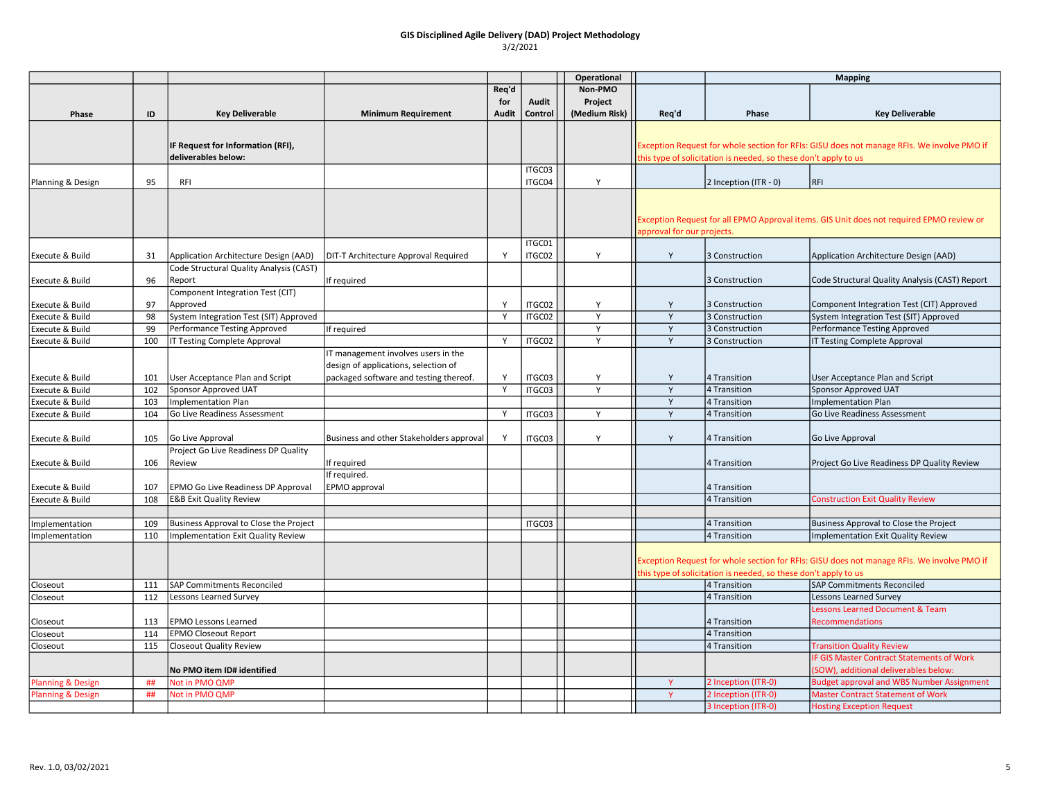|                              |     |                                                          |                                          |       |                  | Operational   |                            |                                                                 | <b>Mapping</b>                                                                             |
|------------------------------|-----|----------------------------------------------------------|------------------------------------------|-------|------------------|---------------|----------------------------|-----------------------------------------------------------------|--------------------------------------------------------------------------------------------|
|                              |     |                                                          |                                          | Req'd |                  | Non-PMO       |                            |                                                                 |                                                                                            |
|                              |     |                                                          |                                          | for   | Audit            | Project       |                            |                                                                 |                                                                                            |
| Phase                        | ID  | <b>Key Deliverable</b>                                   | <b>Minimum Requirement</b>               | Audit | Control          | (Medium Risk) | Req'd                      | Phase                                                           | <b>Key Deliverable</b>                                                                     |
|                              |     |                                                          |                                          |       |                  |               |                            |                                                                 |                                                                                            |
|                              |     | IF Request for Information (RFI),<br>deliverables below: |                                          |       |                  |               |                            | this type of solicitation is needed, so these don't apply to us | Exception Request for whole section for RFIs: GISU does not manage RFIs. We involve PMO if |
|                              |     |                                                          |                                          |       | ITGC03           |               |                            |                                                                 |                                                                                            |
| Planning & Design            | 95  | <b>RFI</b>                                               |                                          |       | ITGC04           | Y             |                            | 2 Inception (ITR - 0)                                           | <b>RFI</b>                                                                                 |
|                              |     |                                                          |                                          |       |                  |               |                            |                                                                 | Exception Request for all EPMO Approval items. GIS Unit does not required EPMO review or   |
|                              |     |                                                          |                                          |       |                  |               | approval for our projects. |                                                                 |                                                                                            |
| Execute & Build              | 31  | Application Architecture Design (AAD)                    | DIT-T Architecture Approval Required     | Y     | ITGC01<br>ITGC02 | Y             | Y                          | 3 Construction                                                  | Application Architecture Design (AAD)                                                      |
| Execute & Build              | 96  | Code Structural Quality Analysis (CAST)<br>Report        | If required                              |       |                  |               |                            | 3 Construction                                                  | Code Structural Quality Analysis (CAST) Report                                             |
|                              |     | Component Integration Test (CIT)                         |                                          |       |                  |               |                            |                                                                 |                                                                                            |
| Execute & Build              | 97  | Approved                                                 |                                          | Y     | ITGC02           | Y             | Y                          | 3 Construction                                                  | Component Integration Test (CIT) Approved                                                  |
| Execute & Build              | 98  | System Integration Test (SIT) Approved                   |                                          | Y     | ITGC02           | Y             | Y                          | 3 Construction                                                  | System Integration Test (SIT) Approved                                                     |
| Execute & Build              | 99  | Performance Testing Approved                             | If required                              |       |                  | Y             | Y                          | 3 Construction                                                  | Performance Testing Approved                                                               |
| Execute & Build              | 100 | IT Testing Complete Approval                             |                                          | Y     | ITGC02           | Y             | Y                          | 3 Construction                                                  | IT Testing Complete Approval                                                               |
|                              |     |                                                          | IT management involves users in the      |       |                  |               |                            |                                                                 |                                                                                            |
|                              |     |                                                          |                                          |       |                  |               |                            |                                                                 |                                                                                            |
|                              |     |                                                          | design of applications, selection of     |       |                  |               |                            |                                                                 |                                                                                            |
| Execute & Build              | 101 | User Acceptance Plan and Script                          | packaged software and testing thereof.   | Y     | ITGC03           | Y             | Y                          | 4 Transition                                                    | User Acceptance Plan and Script                                                            |
| Execute & Build              | 102 | Sponsor Approved UAT                                     |                                          | Y     | ITGC03           | Y             | Y                          | 4 Transition                                                    | Sponsor Approved UAT                                                                       |
| Execute & Build              | 103 | <b>Implementation Plan</b>                               |                                          |       |                  |               | Y                          | 4 Transition                                                    | Implementation Plan                                                                        |
| Execute & Build              | 104 | Go Live Readiness Assessment                             |                                          | Y     | ITGC03           | Y             | Y                          | 4 Transition                                                    | Go Live Readiness Assessment                                                               |
| Execute & Build              | 105 | Go Live Approval                                         | Business and other Stakeholders approval | Y     | ITGC03           | Y             | Y                          | 4 Transition                                                    | Go Live Approval                                                                           |
|                              |     | Project Go Live Readiness DP Quality                     |                                          |       |                  |               |                            |                                                                 |                                                                                            |
| Execute & Build              | 106 | Review                                                   | If required                              |       |                  |               |                            | 4 Transition                                                    | Project Go Live Readiness DP Quality Review                                                |
| Execute & Build              | 107 | EPMO Go Live Readiness DP Approval                       | If required.<br>EPMO approval            |       |                  |               |                            | 4 Transition                                                    |                                                                                            |
| Execute & Build              | 108 | <b>E&amp;B Exit Quality Review</b>                       |                                          |       |                  |               |                            | 4 Transition                                                    | <b>Construction Exit Quality Review</b>                                                    |
|                              |     |                                                          |                                          |       |                  |               |                            |                                                                 |                                                                                            |
|                              | 109 | Business Approval to Close the Project                   |                                          |       | ITGC03           |               |                            | 4 Transition                                                    | Business Approval to Close the Project                                                     |
| Implementation               | 110 | <b>Implementation Exit Quality Review</b>                |                                          |       |                  |               |                            | 4 Transition                                                    | Implementation Exit Quality Review                                                         |
| Implementation               |     |                                                          |                                          |       |                  |               |                            |                                                                 |                                                                                            |
|                              |     |                                                          |                                          |       |                  |               |                            | this type of solicitation is needed, so these don't apply to us | Exception Request for whole section for RFIs: GISU does not manage RFIs. We involve PMO if |
| Closeout                     | 111 | <b>SAP Commitments Reconciled</b>                        |                                          |       |                  |               |                            | 4 Transition                                                    | <b>SAP Commitments Reconciled</b>                                                          |
| Closeout                     | 112 | Lessons Learned Survey                                   |                                          |       |                  |               |                            | 4 Transition                                                    | <b>Lessons Learned Survey</b>                                                              |
|                              |     |                                                          |                                          |       |                  |               |                            |                                                                 | <b>Lessons Learned Document &amp; Team</b>                                                 |
| Closeout                     | 113 | <b>EPMO Lessons Learned</b>                              |                                          |       |                  |               |                            | 4 Transition                                                    | <b>Recommendations</b>                                                                     |
| Closeout                     | 114 | <b>EPMO Closeout Report</b>                              |                                          |       |                  |               |                            | 4 Transition                                                    |                                                                                            |
| Closeout                     | 115 | <b>Closeout Quality Review</b>                           |                                          |       |                  |               |                            | 4 Transition                                                    | <b>Transition Quality Review</b>                                                           |
|                              |     |                                                          |                                          |       |                  |               |                            |                                                                 | IF GIS Master Contract Statements of Work                                                  |
|                              |     | No PMO item ID# identified                               |                                          |       |                  |               |                            |                                                                 | (SOW), additional deliverables below:                                                      |
| <b>Planning &amp; Design</b> | ##  | Not in PMO QMP                                           |                                          |       |                  |               | Y                          | 2 Inception (ITR-0)                                             | <b>Budget approval and WBS Number Assignment</b>                                           |
| <b>Planning &amp; Design</b> | ##  | Not in PMO QMP                                           |                                          |       |                  |               | Y                          | 2 Inception (ITR-0)                                             | <b>Master Contract Statement of Work</b>                                                   |
|                              |     |                                                          |                                          |       |                  |               |                            | 3 Inception (ITR-0)                                             | <b>Hosting Exception Request</b>                                                           |